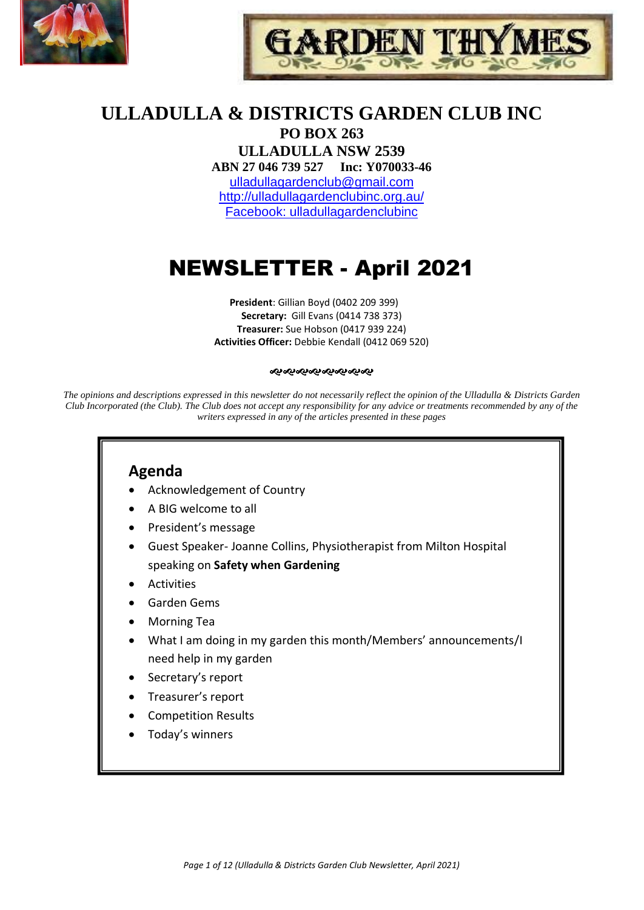



# **ULLADULLA & DISTRICTS GARDEN CLUB INC**

**PO BOX 263 ULLADULLA NSW 2539 ABN 27 046 739 527 Inc: Y070033-46**  [ulladullagardenclub@gmail.com](mailto:ulladullagardenclub@gmail.com) <http://ulladullagardenclubinc.org.au/> Facebook: ulladullagardenclubinc

# NEWSLETTER - April 2021

**President**: Gillian Boyd (0402 209 399) **Secretary:** Gill Evans (0414 738 373) **Treasurer:** Sue Hobson (0417 939 224) **Activities Officer:** Debbie Kendall (0412 069 520)

#### જાજાજાજાજાજાજાજ

*The opinions and descriptions expressed in this newsletter do not necessarily reflect the opinion of the Ulladulla & Districts Garden Club Incorporated (the Club). The Club does not accept any responsibility for any advice or treatments recommended by any of the writers expressed in any of the articles presented in these pages*

# **Agenda**

- Acknowledgement of Country
- A BIG welcome to all
- President's message
- Guest Speaker- Joanne Collins, Physiotherapist from Milton Hospital speaking on **Safety when Gardening**
- Activities
- Garden Gems
- Morning Tea
- What I am doing in my garden this month/Members' announcements/I need help in my garden
- Secretary's report
- Treasurer's report
- Competition Results
- Today's winners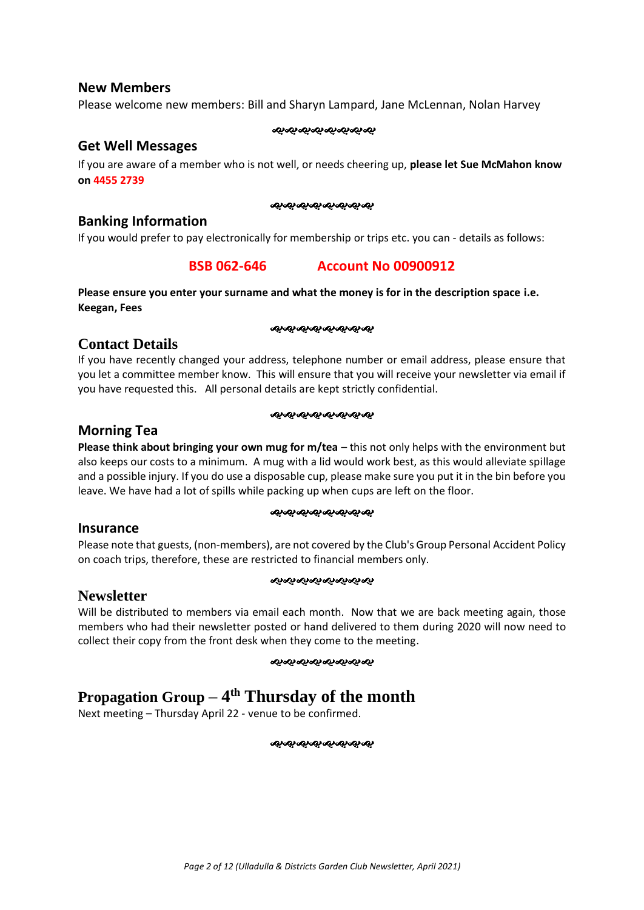### **New Members**

Please welcome new members: Bill and Sharyn Lampard, Jane McLennan, Nolan Harvey

#### જાજાજાજાજાજાજાજા

### **Get Well Messages**

If you are aware of a member who is not well, or needs cheering up, **please let Sue McMahon know on 4455 2739**

#### જાજાજાજાજાજાજાજા

### **Banking Information**

If you would prefer to pay electronically for membership or trips etc. you can - details as follows:

### **BSB 062-646 Account No 00900912**

### **Please ensure you enter your surname and what the money is for in the description space i.e. Keegan, Fees**

#### ೲೲೲೲೲೲೲೲ

### **Contact Details**

If you have recently changed your address, telephone number or email address, please ensure that you let a committee member know. This will ensure that you will receive your newsletter via email if you have requested this. All personal details are kept strictly confidential.

#### જાજાજાજાજાજાજાજ

### **Morning Tea**

**Please think about bringing your own mug for m/tea** – this not only helps with the environment but also keeps our costs to a minimum. A mug with a lid would work best, as this would alleviate spillage and a possible injury. If you do use a disposable cup, please make sure you put it in the bin before you leave. We have had a lot of spills while packing up when cups are left on the floor.

#### 

### **Insurance**

**Newsletter**

Please note that guests, (non-members), are not covered by the Club's Group Personal Accident Policy on coach trips, therefore, these are restricted to financial members only.

### જાજાજાજાજાજાજાજા

Will be distributed to members via email each month. Now that we are back meeting again, those members who had their newsletter posted or hand delivered to them during 2020 will now need to collect their copy from the front desk when they come to the meeting.

#### ઌ૰ઌ૰ઌ૰ઌ૰ઌ૰ઌ૰ઌ

# **Propagation Group – 4 th Thursday of the month**

Next meeting – Thursday April 22 - venue to be confirmed.

ન્કન્કન્કન્કન્કન્કન્કન્ક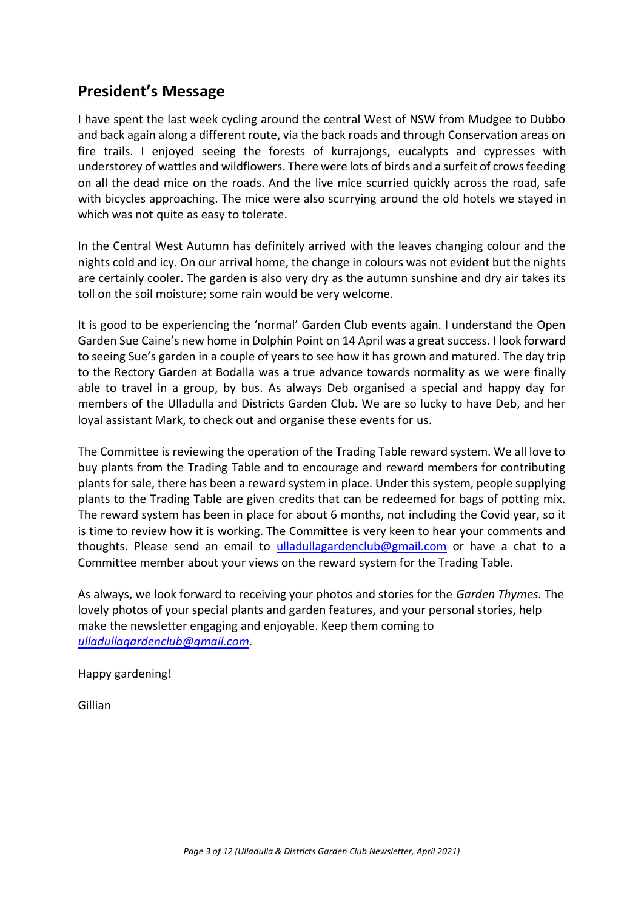# **President's Message**

I have spent the last week cycling around the central West of NSW from Mudgee to Dubbo and back again along a different route, via the back roads and through Conservation areas on fire trails. I enjoyed seeing the forests of kurrajongs, eucalypts and cypresses with understorey of wattles and wildflowers. There were lots of birds and a surfeit of crows feeding on all the dead mice on the roads. And the live mice scurried quickly across the road, safe with bicycles approaching. The mice were also scurrying around the old hotels we stayed in which was not quite as easy to tolerate.

In the Central West Autumn has definitely arrived with the leaves changing colour and the nights cold and icy. On our arrival home, the change in colours was not evident but the nights are certainly cooler. The garden is also very dry as the autumn sunshine and dry air takes its toll on the soil moisture; some rain would be very welcome.

It is good to be experiencing the 'normal' Garden Club events again. I understand the Open Garden Sue Caine's new home in Dolphin Point on 14 April was a great success. I look forward to seeing Sue's garden in a couple of years to see how it has grown and matured. The day trip to the Rectory Garden at Bodalla was a true advance towards normality as we were finally able to travel in a group, by bus. As always Deb organised a special and happy day for members of the Ulladulla and Districts Garden Club. We are so lucky to have Deb, and her loyal assistant Mark, to check out and organise these events for us.

The Committee is reviewing the operation of the Trading Table reward system. We all love to buy plants from the Trading Table and to encourage and reward members for contributing plants for sale, there has been a reward system in place. Under this system, people supplying plants to the Trading Table are given credits that can be redeemed for bags of potting mix. The reward system has been in place for about 6 months, not including the Covid year, so it is time to review how it is working. The Committee is very keen to hear your comments and thoughts. Please send an email to [ulladullagardenclub@gmail.com](mailto:ulladullagardenclub@gmail.com) or have a chat to a Committee member about your views on the reward system for the Trading Table.

As always, we look forward to receiving your photos and stories for the *Garden Thymes.* The lovely photos of your special plants and garden features, and your personal stories, help make the newsletter engaging and enjoyable. Keep them coming to *[ulladullagardenclub@gmail.com.](mailto:ulladullagardenclub@gmail.com)*

Happy gardening!

Gillian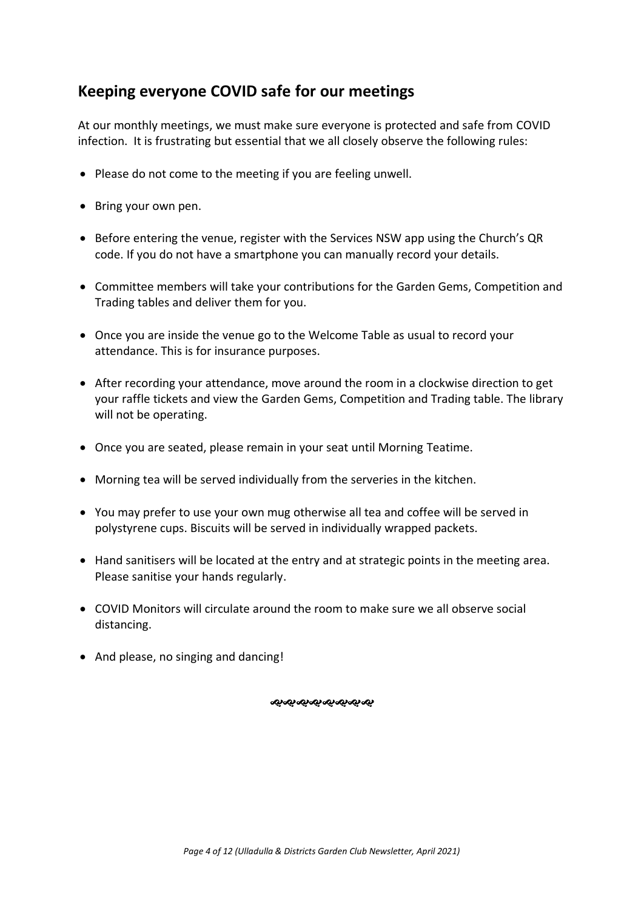# **Keeping everyone COVID safe for our meetings**

At our monthly meetings, we must make sure everyone is protected and safe from COVID infection. It is frustrating but essential that we all closely observe the following rules:

- Please do not come to the meeting if you are feeling unwell.
- Bring your own pen.
- Before entering the venue, register with the Services NSW app using the Church's QR code. If you do not have a smartphone you can manually record your details.
- Committee members will take your contributions for the Garden Gems, Competition and Trading tables and deliver them for you.
- Once you are inside the venue go to the Welcome Table as usual to record your attendance. This is for insurance purposes.
- After recording your attendance, move around the room in a clockwise direction to get your raffle tickets and view the Garden Gems, Competition and Trading table. The library will not be operating.
- Once you are seated, please remain in your seat until Morning Teatime.
- Morning tea will be served individually from the serveries in the kitchen.
- You may prefer to use your own mug otherwise all tea and coffee will be served in polystyrene cups. Biscuits will be served in individually wrapped packets.
- Hand sanitisers will be located at the entry and at strategic points in the meeting area. Please sanitise your hands regularly.
- COVID Monitors will circulate around the room to make sure we all observe social distancing.
- And please, no singing and dancing!

જાજાજાજાજાજાજાજા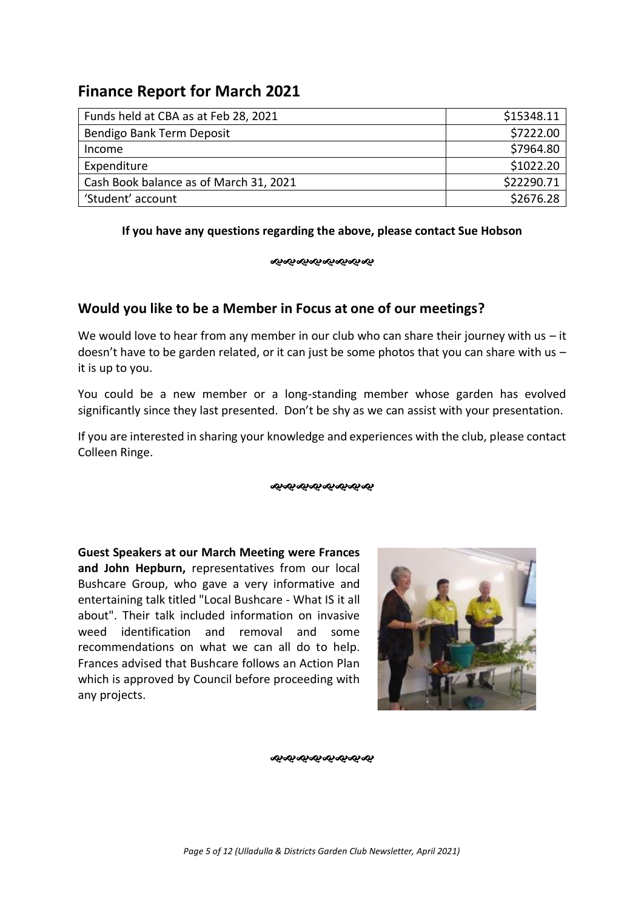# **Finance Report for March 2021**

| Funds held at CBA as at Feb 28, 2021   | \$15348.11 |
|----------------------------------------|------------|
| Bendigo Bank Term Deposit              | \$7222.00  |
| Income                                 | \$7964.80  |
| Expenditure                            | \$1022.20  |
| Cash Book balance as of March 31, 2021 | \$22290.71 |
| 'Student' account                      | \$2676.28  |

### **If you have any questions regarding the above, please contact Sue Hobson**

#### ઌઃઌઃઌઃઌઃઌઃઌઃઌઃ

### **Would you like to be a Member in Focus at one of our meetings?**

We would love to hear from any member in our club who can share their journey with us  $-$  it doesn't have to be garden related, or it can just be some photos that you can share with us  $$ it is up to you.

You could be a new member or a long-standing member whose garden has evolved significantly since they last presented. Don't be shy as we can assist with your presentation.

If you are interested in sharing your knowledge and experiences with the club, please contact Colleen Ringe.

### જાજાજાજાજાજાજાજ

**Guest Speakers at our March Meeting were Frances and John Hepburn,** representatives from our local Bushcare Group, who gave a very informative and entertaining talk titled "Local Bushcare - What IS it all about". Their talk included information on invasive weed identification and removal and some recommendations on what we can all do to help. Frances advised that Bushcare follows an Action Plan which is approved by Council before proceeding with any projects.



ઌ૰ઌ૰ઌઌઌઌઌઌ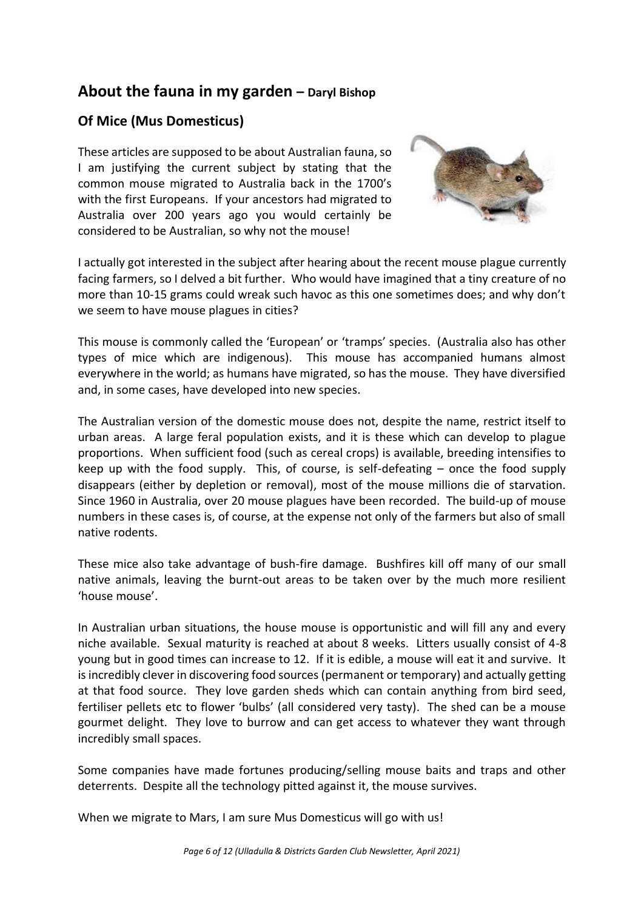# **About the fauna in my garden – Daryl Bishop**

### **Of Mice (Mus Domesticus)**

These articles are supposed to be about Australian fauna, so I am justifying the current subject by stating that the common mouse migrated to Australia back in the 1700's with the first Europeans. If your ancestors had migrated to Australia over 200 years ago you would certainly be considered to be Australian, so why not the mouse!



I actually got interested in the subject after hearing about the recent mouse plague currently facing farmers, so I delved a bit further. Who would have imagined that a tiny creature of no more than 10-15 grams could wreak such havoc as this one sometimes does; and why don't we seem to have mouse plagues in cities?

This mouse is commonly called the 'European' or 'tramps' species. (Australia also has other types of mice which are indigenous). This mouse has accompanied humans almost everywhere in the world; as humans have migrated, so has the mouse. They have diversified and, in some cases, have developed into new species.

The Australian version of the domestic mouse does not, despite the name, restrict itself to urban areas. A large feral population exists, and it is these which can develop to plague proportions. When sufficient food (such as cereal crops) is available, breeding intensifies to keep up with the food supply. This, of course, is self-defeating – once the food supply disappears (either by depletion or removal), most of the mouse millions die of starvation. Since 1960 in Australia, over 20 mouse plagues have been recorded. The build-up of mouse numbers in these cases is, of course, at the expense not only of the farmers but also of small native rodents.

These mice also take advantage of bush-fire damage. Bushfires kill off many of our small native animals, leaving the burnt-out areas to be taken over by the much more resilient 'house mouse'.

In Australian urban situations, the house mouse is opportunistic and will fill any and every niche available. Sexual maturity is reached at about 8 weeks. Litters usually consist of 4-8 young but in good times can increase to 12. If it is edible, a mouse will eat it and survive. It is incredibly clever in discovering food sources (permanent or temporary) and actually getting at that food source. They love garden sheds which can contain anything from bird seed, fertiliser pellets etc to flower 'bulbs' (all considered very tasty). The shed can be a mouse gourmet delight. They love to burrow and can get access to whatever they want through incredibly small spaces.

Some companies have made fortunes producing/selling mouse baits and traps and other deterrents. Despite all the technology pitted against it, the mouse survives.

When we migrate to Mars, I am sure Mus Domesticus will go with us!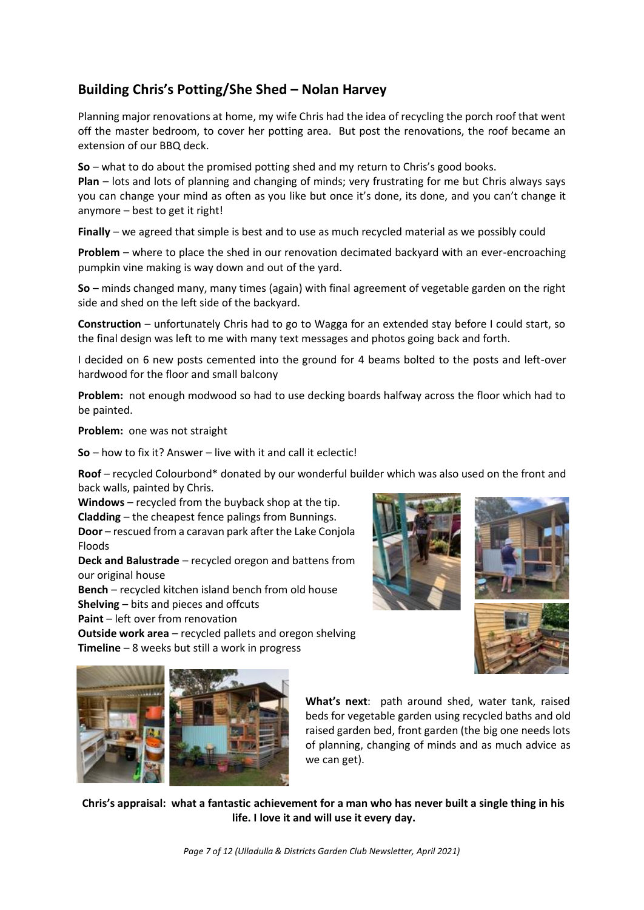### **Building Chris's Potting/She Shed – Nolan Harvey**

Planning major renovations at home, my wife Chris had the idea of recycling the porch roof that went off the master bedroom, to cover her potting area. But post the renovations, the roof became an extension of our BBQ deck.

**So** – what to do about the promised potting shed and my return to Chris's good books.

**Plan** – lots and lots of planning and changing of minds; very frustrating for me but Chris always says you can change your mind as often as you like but once it's done, its done, and you can't change it anymore – best to get it right!

**Finally** – we agreed that simple is best and to use as much recycled material as we possibly could

**Problem** – where to place the shed in our renovation decimated backyard with an ever-encroaching pumpkin vine making is way down and out of the yard.

**So** – minds changed many, many times (again) with final agreement of vegetable garden on the right side and shed on the left side of the backyard.

**Construction** – unfortunately Chris had to go to Wagga for an extended stay before I could start, so the final design was left to me with many text messages and photos going back and forth.

I decided on 6 new posts cemented into the ground for 4 beams bolted to the posts and left-over hardwood for the floor and small balcony

**Problem:** not enough modwood so had to use decking boards halfway across the floor which had to be painted.

**Problem:** one was not straight

**So** – how to fix it? Answer – live with it and call it eclectic!

**Roof** – recycled Colourbond\* donated by our wonderful builder which was also used on the front and back walls, painted by Chris.

**Windows** – recycled from the buyback shop at the tip. **Cladding** – the cheapest fence palings from Bunnings. **Door** – rescued from a caravan park after the Lake Conjola Floods

**Deck and Balustrade** – recycled oregon and battens from our original house

**Bench** – recycled kitchen island bench from old house **Shelving** – bits and pieces and offcuts

**Paint** – left over from renovation

**Outside work area** – recycled pallets and oregon shelving **Timeline** – 8 weeks but still a work in progress









**What's next**: path around shed, water tank, raised beds for vegetable garden using recycled baths and old raised garden bed, front garden (the big one needs lots of planning, changing of minds and as much advice as we can get).

**Chris's appraisal: what a fantastic achievement for a man who has never built a single thing in his life. I love it and will use it every day.**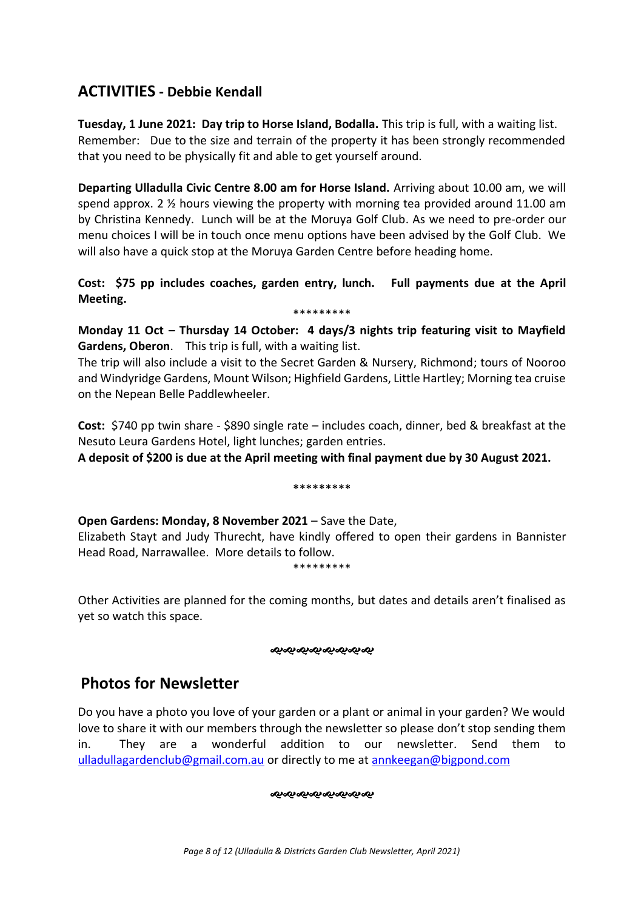### **ACTIVITIES - Debbie Kendall**

**Tuesday, 1 June 2021: Day trip to Horse Island, Bodalla.** This trip is full, with a waiting list. Remember: Due to the size and terrain of the property it has been strongly recommended that you need to be physically fit and able to get yourself around.

**Departing Ulladulla Civic Centre 8.00 am for Horse Island.** Arriving about 10.00 am, we will spend approx. 2 ½ hours viewing the property with morning tea provided around 11.00 am by Christina Kennedy. Lunch will be at the Moruya Golf Club. As we need to pre-order our menu choices I will be in touch once menu options have been advised by the Golf Club. We will also have a quick stop at the Moruya Garden Centre before heading home.

**Cost: \$75 pp includes coaches, garden entry, lunch. Full payments due at the April Meeting.**  \*\*\*\*\*\*\*\*\*

**Monday 11 Oct – Thursday 14 October: 4 days/3 nights trip featuring visit to Mayfield Gardens, Oberon**. This trip is full, with a waiting list.

The trip will also include a visit to the Secret Garden & Nursery, Richmond; tours of Nooroo and Windyridge Gardens, Mount Wilson; Highfield Gardens, Little Hartley; Morning tea cruise on the Nepean Belle Paddlewheeler.

**Cost:** \$740 pp twin share - \$890 single rate – includes coach, dinner, bed & breakfast at the Nesuto Leura Gardens Hotel, light lunches; garden entries.

**A deposit of \$200 is due at the April meeting with final payment due by 30 August 2021.**

### \*\*\*\*\*\*\*\*\*

**Open Gardens: Monday, 8 November 2021** – Save the Date,

Elizabeth Stayt and Judy Thurecht, have kindly offered to open their gardens in Bannister Head Road, Narrawallee. More details to follow.

\*\*\*\*\*\*\*\*\*

Other Activities are planned for the coming months, but dates and details aren't finalised as yet so watch this space.

#### ೲೲೲೲೲೲೲೲ

# **Photos for Newsletter**

Do you have a photo you love of your garden or a plant or animal in your garden? We would love to share it with our members through the newsletter so please don't stop sending them in. They are a wonderful addition to our newsletter. Send them to [ulladullagardenclub@gmail.com.au](mailto:ulladullagardenclub@gmail.com.au) or directly to me at [annkeegan@bigpond.com](mailto:annkeegan@bigpond.com)

**જીજાજીજીજીજીજીજી**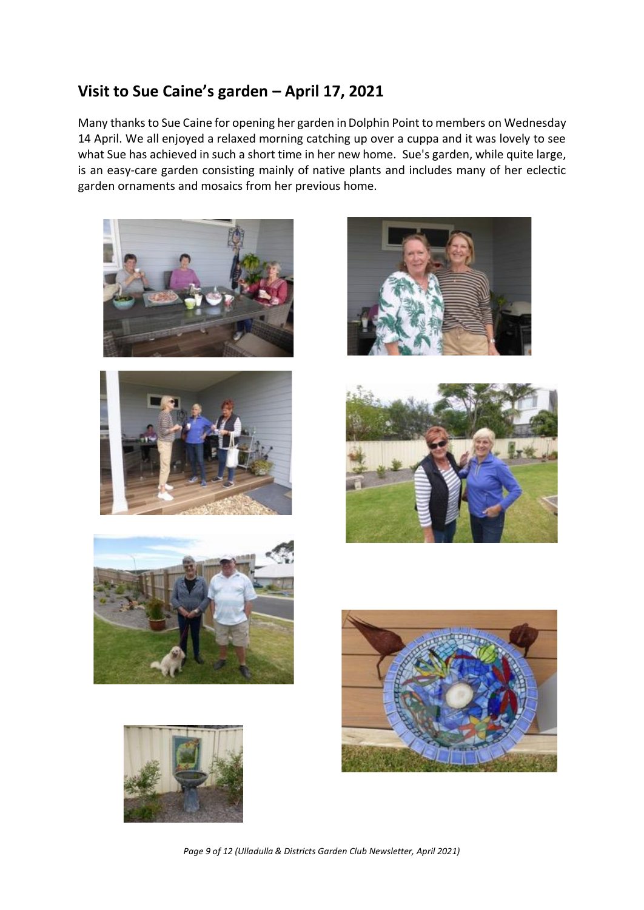# **Visit to Sue Caine's garden – April 17, 2021**

Many thanks to Sue Caine for opening her garden in Dolphin Point to members on Wednesday 14 April. We all enjoyed a relaxed morning catching up over a cuppa and it was lovely to see what Sue has achieved in such a short time in her new home. Sue's garden, while quite large, is an easy-care garden consisting mainly of native plants and includes many of her eclectic garden ornaments and mosaics from her previous home.















*Page 9 of 12 (Ulladulla & Districts Garden Club Newsletter, April 2021)*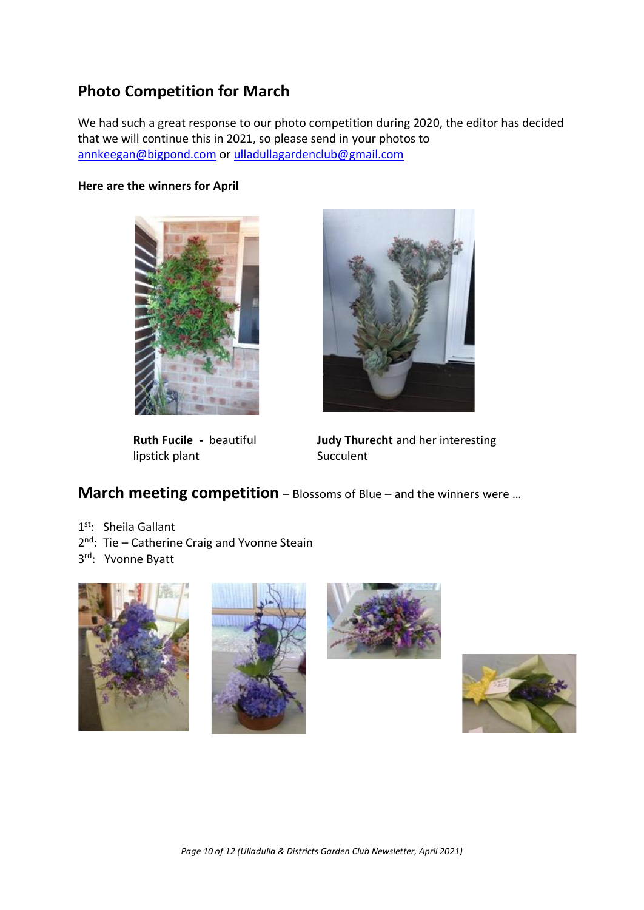# **Photo Competition for March**

We had such a great response to our photo competition during 2020, the editor has decided that we will continue this in 2021, so please send in your photos to [annkeegan@bigpond.com](mailto:annkeegan@bigpond.com) or [ulladullagardenclub@gmail.com](mailto:ulladullagardenclub@gmail.com)

### **Here are the winners for April**



lipstick plant Succulent



**Ruth Fucile -** beautiful **Judy Thurecht** and her interesting

## **March meeting competition** – Blossoms of Blue – and the winners were …

- 1<sup>st</sup>: Sheila Gallant
- 2<sup>nd</sup>: Tie Catherine Craig and Yvonne Steain
- 3<sup>rd</sup>: Yvonne Byatt







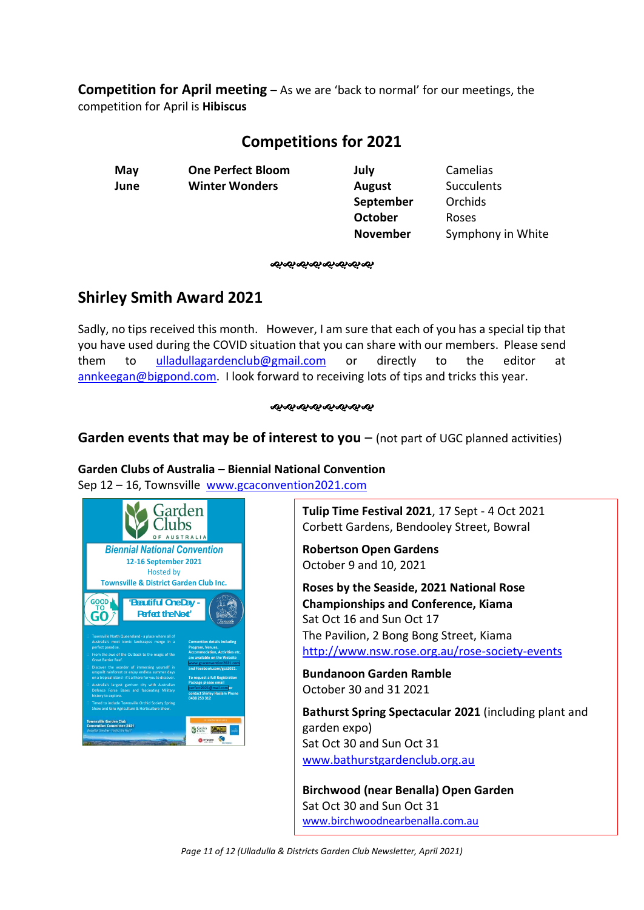**Competition for April meeting –** As we are 'back to normal' for our meetings, the competition for April is **Hibiscus** 

# **Competitions for 2021**

**June Winter Wonders August** Succulents

**May One Perfect Bloom July** Camelias **September** Orchids **October** Roses

**November** Symphony in White

ઌ૰ઌ૰ઌ૰ઌ૰ઌ૰ઌ૰ઌ

# **Shirley Smith Award 2021**

Sadly, no tips received this month. However, I am sure that each of you has a special tip that you have used during the COVID situation that you can share with our members. Please send them to [ulladullagardenclub@gmail.com](mailto:ulladullagardenclub@gmail.com) or directly to the editor at [annkeegan@bigpond.com.](mailto:annkeegan@bigpond.com) I look forward to receiving lots of tips and tricks this year.

### જાજાજાજાજાજાજાજા

### **Garden events that may be of interest to you** – (not part of UGC planned activities)

### **Garden Clubs of Australia – Biennial National Convention**

Sep 12 – 16, Townsville [www.gcaconvention2021.com](http://www.gcaconvention2021.com/)



**Tulip Time Festival 2021**, 17 Sept - 4 Oct 2021 Corbett Gardens, Bendooley Street, Bowral

**Robertson Open Gardens** October 9 and 10, 2021

**Roses by the Seaside, 2021 National Rose Championships and Conference, Kiama** Sat Oct 16 and Sun Oct 17 The Pavilion, 2 Bong Bong Street, Kiama <http://www.nsw.rose.org.au/rose-society-events>

**Bundanoon Garden Ramble** October 30 and 31 2021

**Bathurst Spring Spectacular 2021** (including plant and garden expo) Sat Oct 30 and Sun Oct 31 [www.bathurstgardenclub.org.au](http://www.bathurstgardenclub.org.au/)

**Birchwood (near Benalla) Open Garden** Sat Oct 30 and Sun Oct 31 [www.birchwoodnearbenalla.com.au](http://www.birchwoodnearbenalla.com.au/)